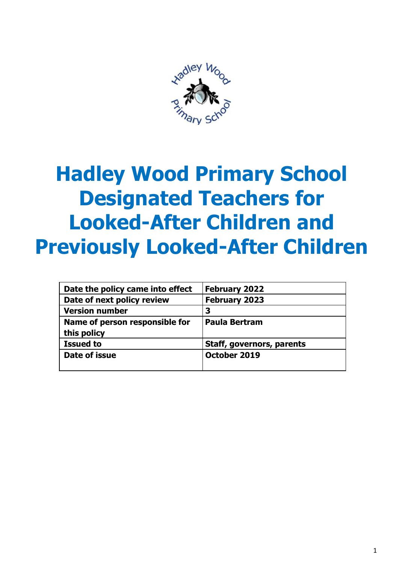

# **Hadley Wood Primary School Designated Teachers for Looked-After Children and Previously Looked-After Children**

| Date the policy came into effect | <b>February 2022</b>      |
|----------------------------------|---------------------------|
| Date of next policy review       | <b>February 2023</b>      |
| <b>Version number</b>            | 3                         |
| Name of person responsible for   | <b>Paula Bertram</b>      |
| this policy                      |                           |
| <b>Issued to</b>                 | Staff, governors, parents |
| Date of issue                    | October 2019              |
|                                  |                           |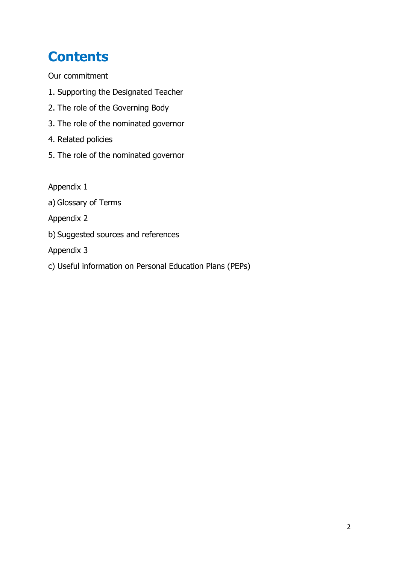### **Contents**

Our commitment

- 1. Supporting the Designated Teacher
- 2. The role of the Governing Body
- 3. The role of the nominated governor
- 4. Related policies
- 5. The role of the nominated governor

Appendix 1

a) Glossary of Terms

Appendix 2

b) Suggested sources and references

Appendix 3

c) Useful information on Personal Education Plans (PEPs)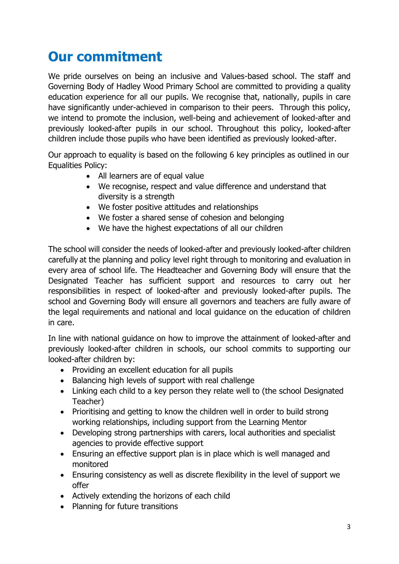#### **Our commitment**

We pride ourselves on being an inclusive and Values-based school. The staff and Governing Body of Hadley Wood Primary School are committed to providing a quality education experience for all our pupils. We recognise that, nationally, pupils in care have significantly under-achieved in comparison to their peers. Through this policy, we intend to promote the inclusion, well-being and achievement of looked-after and previously looked-after pupils in our school. Throughout this policy, looked-after children include those pupils who have been identified as previously looked-after.

Our approach to equality is based on the following 6 key principles as outlined in our Equalities Policy:

- All learners are of equal value
- We recognise, respect and value difference and understand that diversity is a strength
- We foster positive attitudes and relationships
- We foster a shared sense of cohesion and belonging
- We have the highest expectations of all our children

The school will consider the needs of looked-after and previously looked-after children carefully at the planning and policy level right through to monitoring and evaluation in every area of school life. The Headteacher and Governing Body will ensure that the Designated Teacher has sufficient support and resources to carry out her responsibilities in respect of looked-after and previously looked-after pupils. The school and Governing Body will ensure all governors and teachers are fully aware of the legal requirements and national and local guidance on the education of children in care.

In line with national guidance on how to improve the attainment of looked-after and previously looked-after children in schools, our school commits to supporting our looked-after children by:

- Providing an excellent education for all pupils
- Balancing high levels of support with real challenge
- Linking each child to a key person they relate well to (the school Designated Teacher)
- Prioritising and getting to know the children well in order to build strong working relationships, including support from the Learning Mentor
- Developing strong partnerships with carers, local authorities and specialist agencies to provide effective support
- Ensuring an effective support plan is in place which is well managed and monitored
- Ensuring consistency as well as discrete flexibility in the level of support we offer
- Actively extending the horizons of each child
- Planning for future transitions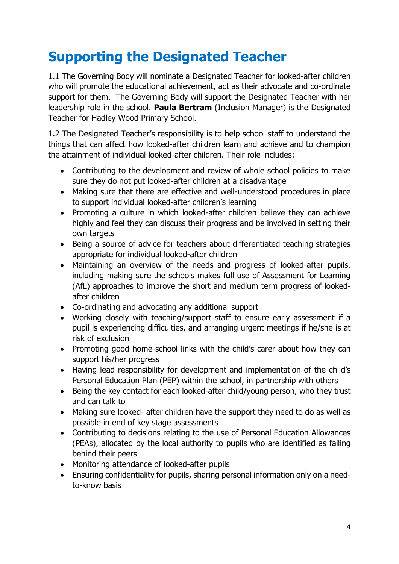### **Supporting the Designated Teacher**

1.1 The Governing Body will nominate a Designated Teacher for looked-after children who will promote the educational achievement, act as their advocate and co-ordinate support for them. The Governing Body will support the Designated Teacher with her leadership role in the school. **Paula Bertram** (Inclusion Manager) is the Designated Teacher for Hadley Wood Primary School.

1.2 The Designated Teacher's responsibility is to help school staff to understand the things that can affect how looked-after children learn and achieve and to champion the attainment of individual looked-after children. Their role includes:

- Contributing to the development and review of whole school policies to make sure they do not put looked-after children at a disadvantage
- Making sure that there are effective and well-understood procedures in place to support individual looked-after children's learning
- Promoting a culture in which looked-after children believe they can achieve highly and feel they can discuss their progress and be involved in setting their own targets
- Being a source of advice for teachers about differentiated teaching strategies appropriate for individual looked-after children
- Maintaining an overview of the needs and progress of looked-after pupils, including making sure the schools makes full use of Assessment for Learning (AfL) approaches to improve the short and medium term progress of lookedafter children
- Co-ordinating and advocating any additional support
- Working closely with teaching/support staff to ensure early assessment if a pupil is experiencing difficulties, and arranging urgent meetings if he/she is at risk of exclusion
- Promoting good home-school links with the child's carer about how they can support his/her progress
- Having lead responsibility for development and implementation of the child's Personal Education Plan (PEP) within the school, in partnership with others
- Being the key contact for each looked-after child/young person, who they trust and can talk to
- Making sure looked- after children have the support they need to do as well as possible in end of key stage assessments
- Contributing to decisions relating to the use of Personal Education Allowances (PEAs), allocated by the local authority to pupils who are identified as falling behind their peers
- Monitoring attendance of looked-after pupils
- Ensuring confidentiality for pupils, sharing personal information only on a needto-know basis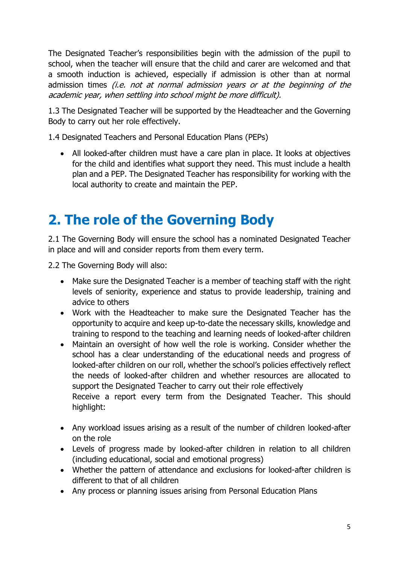The Designated Teacher's responsibilities begin with the admission of the pupil to school, when the teacher will ensure that the child and carer are welcomed and that a smooth induction is achieved, especially if admission is other than at normal admission times *(i.e. not at normal admission years or at the beginning of the* academic year, when settling into school might be more difficult).

1.3 The Designated Teacher will be supported by the Headteacher and the Governing Body to carry out her role effectively.

1.4 Designated Teachers and Personal Education Plans (PEPs)

• All looked-after children must have a care plan in place. It looks at objectives for the child and identifies what support they need. This must include a health plan and a PEP. The Designated Teacher has responsibility for working with the local authority to create and maintain the PEP.

#### **2. The role of the Governing Body**

2.1 The Governing Body will ensure the school has a nominated Designated Teacher in place and will and consider reports from them every term.

2.2 The Governing Body will also:

- Make sure the Designated Teacher is a member of teaching staff with the right levels of seniority, experience and status to provide leadership, training and advice to others
- Work with the Headteacher to make sure the Designated Teacher has the opportunity to acquire and keep up-to-date the necessary skills, knowledge and training to respond to the teaching and learning needs of looked-after children
- Maintain an oversight of how well the role is working. Consider whether the school has a clear understanding of the educational needs and progress of looked-after children on our roll, whether the school's policies effectively reflect the needs of looked-after children and whether resources are allocated to support the Designated Teacher to carry out their role effectively Receive a report every term from the Designated Teacher. This should
- highlight:
- Any workload issues arising as a result of the number of children looked-after on the role
- Levels of progress made by looked-after children in relation to all children (including educational, social and emotional progress)
- Whether the pattern of attendance and exclusions for looked-after children is different to that of all children
- Any process or planning issues arising from Personal Education Plans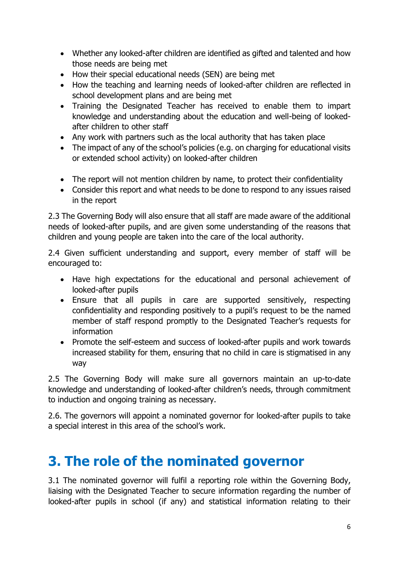- Whether any looked-after children are identified as gifted and talented and how those needs are being met
- How their special educational needs (SEN) are being met
- How the teaching and learning needs of looked-after children are reflected in school development plans and are being met
- Training the Designated Teacher has received to enable them to impart knowledge and understanding about the education and well-being of lookedafter children to other staff
- Any work with partners such as the local authority that has taken place
- The impact of any of the school's policies (e.g. on charging for educational visits or extended school activity) on looked-after children
- The report will not mention children by name, to protect their confidentiality
- Consider this report and what needs to be done to respond to any issues raised in the report

2.3 The Governing Body will also ensure that all staff are made aware of the additional needs of looked-after pupils, and are given some understanding of the reasons that children and young people are taken into the care of the local authority.

2.4 Given sufficient understanding and support, every member of staff will be encouraged to:

- Have high expectations for the educational and personal achievement of looked-after pupils
- Ensure that all pupils in care are supported sensitively, respecting confidentiality and responding positively to a pupil's request to be the named member of staff respond promptly to the Designated Teacher's requests for information
- Promote the self-esteem and success of looked-after pupils and work towards increased stability for them, ensuring that no child in care is stigmatised in any way

2.5 The Governing Body will make sure all governors maintain an up-to-date knowledge and understanding of looked-after children's needs, through commitment to induction and ongoing training as necessary.

2.6. The governors will appoint a nominated governor for looked-after pupils to take a special interest in this area of the school's work.

#### **3. The role of the nominated governor**

3.1 The nominated governor will fulfil a reporting role within the Governing Body, liaising with the Designated Teacher to secure information regarding the number of looked-after pupils in school (if any) and statistical information relating to their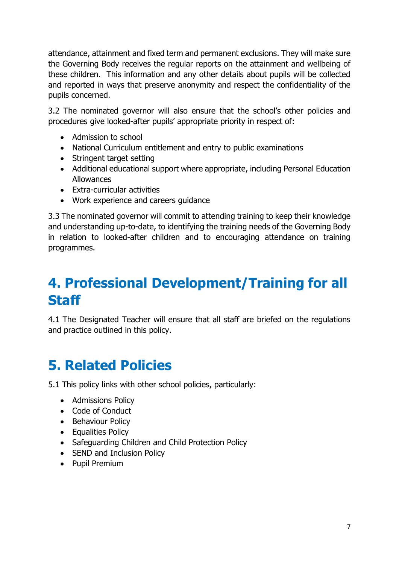attendance, attainment and fixed term and permanent exclusions. They will make sure the Governing Body receives the regular reports on the attainment and wellbeing of these children. This information and any other details about pupils will be collected and reported in ways that preserve anonymity and respect the confidentiality of the pupils concerned.

3.2 The nominated governor will also ensure that the school's other policies and procedures give looked-after pupils' appropriate priority in respect of:

- Admission to school
- National Curriculum entitlement and entry to public examinations
- Stringent target setting
- Additional educational support where appropriate, including Personal Education Allowances
- Extra-curricular activities
- Work experience and careers guidance

3.3 The nominated governor will commit to attending training to keep their knowledge and understanding up-to-date, to identifying the training needs of the Governing Body in relation to looked-after children and to encouraging attendance on training programmes.

#### **4. Professional Development/Training for all Staff**

4.1 The Designated Teacher will ensure that all staff are briefed on the regulations and practice outlined in this policy.

#### **5. Related Policies**

5.1 This policy links with other school policies, particularly:

- Admissions Policy
- Code of Conduct
- Behaviour Policy
- Equalities Policy
- Safeguarding Children and Child Protection Policy
- SEND and Inclusion Policy
- Pupil Premium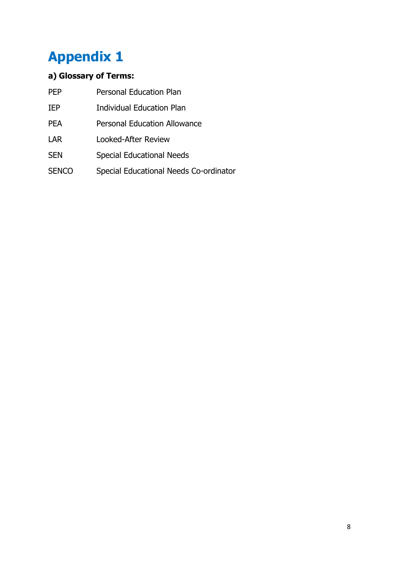# **Appendix 1**

#### **a) Glossary of Terms:**

| <b>PFP</b>   | <b>Personal Education Plan</b>         |
|--------------|----------------------------------------|
| <b>IEP</b>   | <b>Individual Education Plan</b>       |
| <b>PFA</b>   | <b>Personal Education Allowance</b>    |
| LAR          | <b>Looked-After Review</b>             |
| <b>SEN</b>   | <b>Special Educational Needs</b>       |
| <b>SENCO</b> | Special Educational Needs Co-ordinator |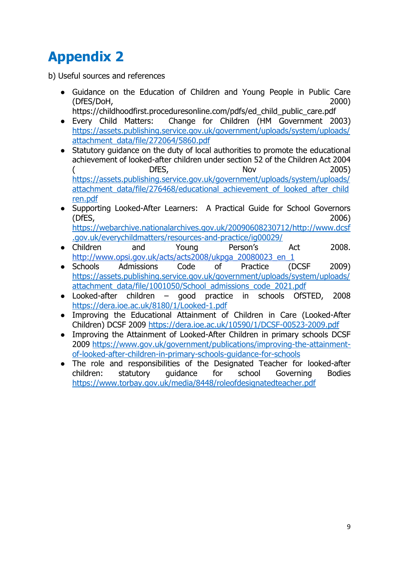## **Appendix 2**

b) Useful sources and references

● Guidance on the Education of Children and Young People in Public Care (DfES/DoH, 2000)

https://childhoodfirst.proceduresonline.com/pdfs/ed\_child\_public\_care.pdf

- Every Child Matters: Change for Children (HM Government 2003) [https://assets.publishing.service.gov.uk/government/uploads/system/uploads/](https://assets.publishing.service.gov.uk/government/uploads/system/uploads/attachment_data/file/272064/5860.pdf) [attachment\\_data/file/272064/5860.pdf](https://assets.publishing.service.gov.uk/government/uploads/system/uploads/attachment_data/file/272064/5860.pdf)
- Statutory guidance on the duty of local authorities to promote the educational achievement of looked-after children under section 52 of the Children Act 2004 ( DfES, Nov 2005) [https://assets.publishing.service.gov.uk/government/uploads/system/uploads/](https://assets.publishing.service.gov.uk/government/uploads/system/uploads/attachment_data/file/276468/educational_achievement_of_looked_after_children.pdf) [attachment\\_data/file/276468/educational\\_achievement\\_of\\_looked\\_after\\_child](https://assets.publishing.service.gov.uk/government/uploads/system/uploads/attachment_data/file/276468/educational_achievement_of_looked_after_children.pdf) [ren.pdf](https://assets.publishing.service.gov.uk/government/uploads/system/uploads/attachment_data/file/276468/educational_achievement_of_looked_after_children.pdf)
- Supporting Looked-After Learners: A Practical Guide for School Governors (DfES, 2006) [https://webarchive.nationalarchives.gov.uk/20090608230712/http://www.dcsf](https://webarchive.nationalarchives.gov.uk/20090608230712/http:/www.dcsf.gov.uk/everychildmatters/resources-and-practice/ig00029/) [.gov.uk/everychildmatters/resources-and-practice/ig00029/](https://webarchive.nationalarchives.gov.uk/20090608230712/http:/www.dcsf.gov.uk/everychildmatters/resources-and-practice/ig00029/)
- Children and Young Person's Act 2008. [http://www.opsi.gov.uk/acts/acts2008/ukpga\\_20080023\\_en\\_1](http://www.opsi.gov.uk/acts/acts2008/ukpga_20080023_en_1)
- Schools Admissions Code of Practice (DCSF 2009) [https://assets.publishing.service.gov.uk/government/uploads/system/uploads/](https://assets.publishing.service.gov.uk/government/uploads/system/uploads/attachment_data/file/1001050/School_admissions_code_2021.pdf) [attachment\\_data/file/1001050/School\\_admissions\\_code\\_2021.pdf](https://assets.publishing.service.gov.uk/government/uploads/system/uploads/attachment_data/file/1001050/School_admissions_code_2021.pdf)
- Looked-after children good practice in schools OfSTED, 2008 <https://dera.ioe.ac.uk/8180/1/Looked-1.pdf>
- Improving the Educational Attainment of Children in Care (Looked-After Children) DCSF 2009<https://dera.ioe.ac.uk/10590/1/DCSF-00523-2009.pdf>
- Improving the Attainment of Looked-After Children in primary schools DCSF 2009 [https://www.gov.uk/government/publications/improving-the-attainment](https://www.gov.uk/government/publications/improving-the-attainment-of-looked-after-children-in-primary-schools-guidance-for-schools)[of-looked-after-children-in-primary-schools-guidance-for-schools](https://www.gov.uk/government/publications/improving-the-attainment-of-looked-after-children-in-primary-schools-guidance-for-schools)
- The role and responsibilities of the Designated Teacher for looked-after children: statutory guidance for school Governing Bodies <https://www.torbay.gov.uk/media/8448/roleofdesignatedteacher.pdf>